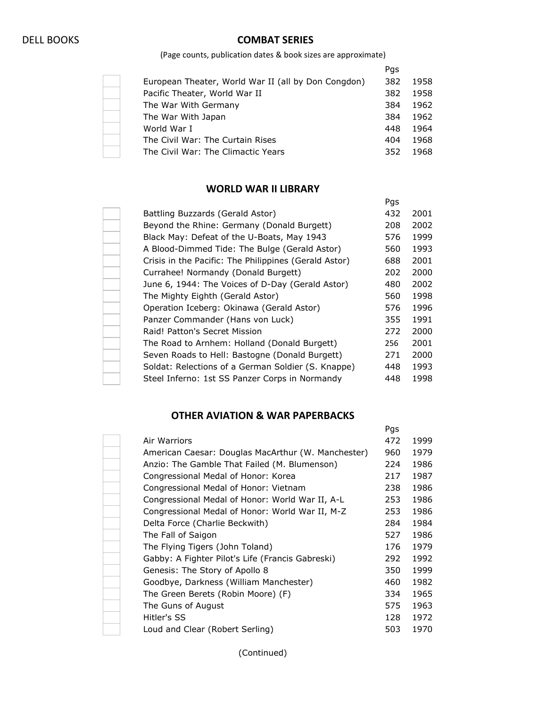## DELL BOOKS **COMBAT SERIES**

(Page counts, publication dates & book sizes are approximate)

|                                                     | Pgs |      |
|-----------------------------------------------------|-----|------|
| European Theater, World War II (all by Don Congdon) | 382 | 1958 |
| Pacific Theater, World War II                       | 382 | 1958 |
| The War With Germany                                | 384 | 1962 |
| The War With Japan                                  | 384 | 1962 |
| World War I                                         | 448 | 1964 |
| The Civil War: The Curtain Rises                    | 404 | 1968 |
| The Civil War: The Climactic Years                  | 352 | 1968 |

## **WORLD WAR II LIBRARY**

|                                                       | Pgs |      |
|-------------------------------------------------------|-----|------|
| Battling Buzzards (Gerald Astor)                      | 432 | 2001 |
| Beyond the Rhine: Germany (Donald Burgett)            | 208 | 2002 |
| Black May: Defeat of the U-Boats, May 1943            | 576 | 1999 |
| A Blood-Dimmed Tide: The Bulge (Gerald Astor)         | 560 | 1993 |
| Crisis in the Pacific: The Philippines (Gerald Astor) | 688 | 2001 |
| Currahee! Normandy (Donald Burgett)                   | 202 | 2000 |
| June 6, 1944: The Voices of D-Day (Gerald Astor)      | 480 | 2002 |
| The Mighty Eighth (Gerald Astor)                      | 560 | 1998 |
| Operation Iceberg: Okinawa (Gerald Astor)             | 576 | 1996 |
| Panzer Commander (Hans von Luck)                      | 355 | 1991 |
| Raid! Patton's Secret Mission                         | 272 | 2000 |
| The Road to Arnhem: Holland (Donald Burgett)          | 256 | 2001 |
| Seven Roads to Hell: Bastogne (Donald Burgett)        | 271 | 2000 |
| Soldat: Relections of a German Soldier (S. Knappe)    | 448 | 1993 |
| Steel Inferno: 1st SS Panzer Corps in Normandy        | 448 | 1998 |
|                                                       |     |      |

## **OTHER AVIATION & WAR PAPERBACKS**

|                                                    | Pgs |      |
|----------------------------------------------------|-----|------|
| Air Warriors                                       | 472 | 1999 |
| American Caesar: Douglas MacArthur (W. Manchester) | 960 | 1979 |
| Anzio: The Gamble That Failed (M. Blumenson)       | 224 | 1986 |
| Congressional Medal of Honor: Korea                | 217 | 1987 |
| Congressional Medal of Honor: Vietnam              | 238 | 1986 |
| Congressional Medal of Honor: World War II, A-L    | 253 | 1986 |
| Congressional Medal of Honor: World War II, M-Z    | 253 | 1986 |
| Delta Force (Charlie Beckwith)                     | 284 | 1984 |
| The Fall of Saigon                                 | 527 | 1986 |
| The Flying Tigers (John Toland)                    | 176 | 1979 |
| Gabby: A Fighter Pilot's Life (Francis Gabreski)   | 292 | 1992 |
| Genesis: The Story of Apollo 8                     | 350 | 1999 |
| Goodbye, Darkness (William Manchester)             | 460 | 1982 |
| The Green Berets (Robin Moore) (F)                 | 334 | 1965 |
| The Guns of August                                 | 575 | 1963 |
| Hitler's SS                                        | 128 | 1972 |
| Loud and Clear (Robert Serling)                    | 503 | 1970 |
|                                                    |     |      |